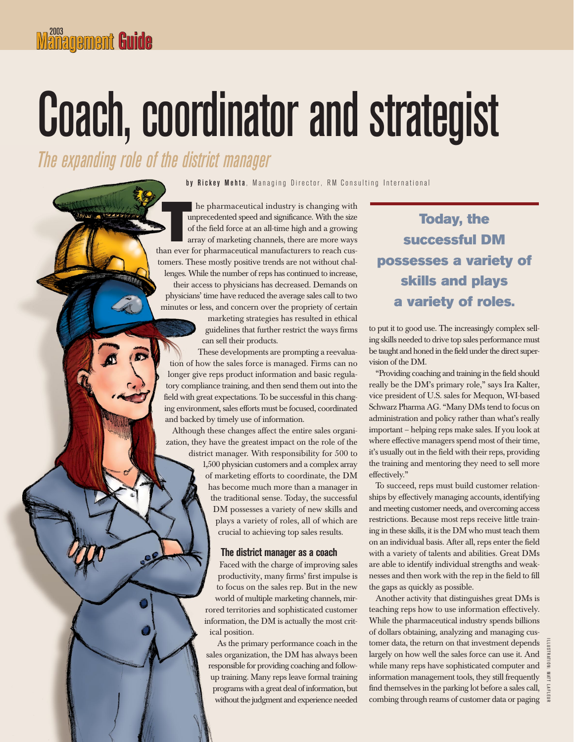# Coach, coordinator and strategist

*The expanding role of the district manager*

by Rickey Mehta, Managing Director, RM Consulting International

he pharmaceutical industry is changing with unprecedented speed and significance. With the size of the field force at an all-time high and a growing array of marketing channels, there are more ways the pharmaceutical industry is changing with<br>unprecedented speed and significance. With the size<br>of the field force at an all-time high and a growing<br>array of marketing channels, there are more ways<br>than ever for pharmaceu tomers. These mostly positive trends are not without challenges. While the number of reps has continued to increase, their access to physicians has decreased. Demands on physicians' time have reduced the average sales call to two minutes or less, and concern over the propriety of certain

> marketing strategies has resulted in ethical guidelines that further restrict the ways firms can sell their products.

These developments are prompting a reevaluation of how the sales force is managed. Firms can no longer give reps product information and basic regulatory compliance training, and then send them out into the field with great expectations. To be successful in this changing environment, sales efforts must be focused, coordinated and backed by timely use of information.

Although these changes affect the entire sales organization, they have the greatest impact on the role of the

> district manager. With responsibility for 500 to 1,500 physician customers and a complex array of marketing efforts to coordinate, the DM has become much more than a manager in the traditional sense. Today, the successful DM possesses a variety of new skills and plays a variety of roles, all of which are crucial to achieving top sales results.

## **The district manager as a coach**

Faced with the charge of improving sales productivity, many firms' first impulse is to focus on the sales rep. But in the new world of multiple marketing channels, mirrored territories and sophisticated customer information, the DM is actually the most critical position.

As the primary performance coach in the sales organization, the DM has always been responsible for providing coaching and followup training. Many reps leave formal training programs with a great deal of information, but without the judgment and experience needed

# **Today, the successful DM possesses a variety of skills and plays a variety of roles.**

to put it to good use. The increasingly complex selling skills needed to drive top sales performance must be taught and honed in the field under the direct supervision of the DM.

"Providing coaching and training in the field should really be the DM's primary role," says Ira Kalter, vice president of U.S. sales for Mequon, WI-based Schwarz Pharma AG. "Many DMs tend to focus on administration and policy rather than what's really important – helping reps make sales. If you look at where effective managers spend most of their time, it's usually out in the field with their reps, providing the training and mentoring they need to sell more effectively."

To succeed, reps must build customer relationships by effectively managing accounts, identifying and meeting customer needs, and overcoming access restrictions. Because most reps receive little training in these skills, it is the DM who must teach them on an individual basis. After all, reps enter the field with a variety of talents and abilities. Great DMs are able to identify individual strengths and weaknesses and then work with the rep in the field to fill the gaps as quickly as possible.

Another activity that distinguishes great DMs is teaching reps how to use information effectively. While the pharmaceutical industry spends billions of dollars obtaining, analyzing and managing customer data, the return on that investment depends largely on how well the sales force can use it. And while many reps have sophisticated computer and information management tools, they still frequently find themselves in the parking lot before a sales call, combing through reams of customer data or paging